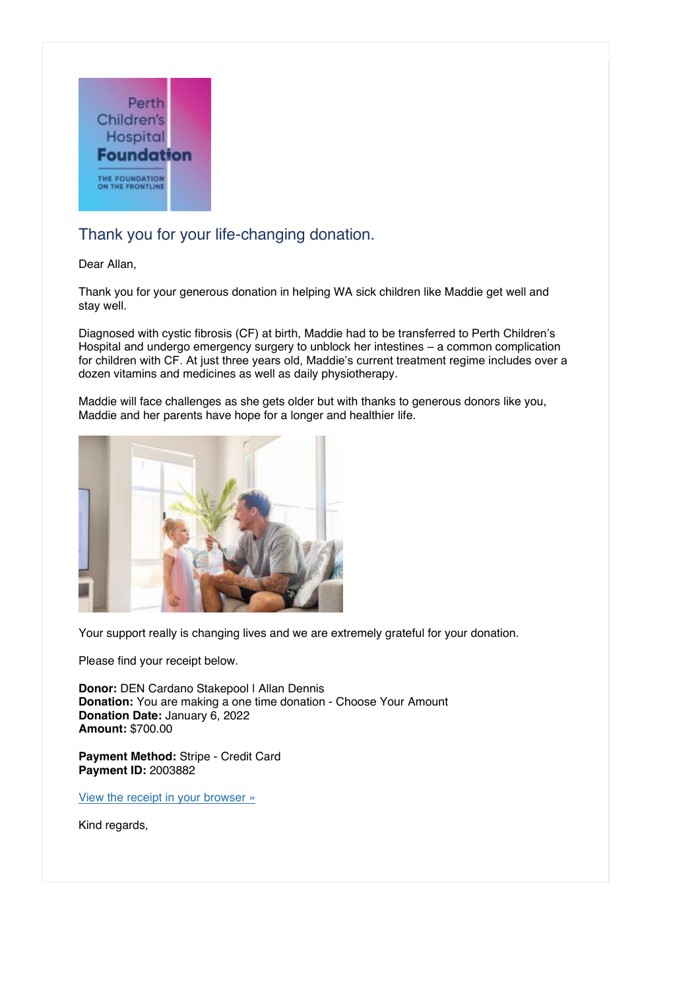

## Thank you for your life-changing donation.

Dear Allan,

Thank you for your generous donation in helping WA sick children like Maddie get well and stay well.

Diagnosed with cystic fibrosis (CF) at birth, Maddie had to be transferred to Perth Children's Hospital and undergo emergency surgery to unblock her intestines  $-$  a common complication for children with CF. At just three years old, Maddie's current treatment regime includes over a dozen vitamins and medicines as well as daily physiotherapy.

Maddie will face challenges as she gets older but with thanks to generous donors like you, Maddie and her parents have hope for a longer and healthier life.



Your support really is changing lives and we are extremely grateful for your donation.

Please find your receipt below.

**Donor:** DEN Cardano Stakepool | Allan Dennis **Donation:** You are making a one time donation - Choose Your Amount **Donation Date:** January 6, 2022 **Amount:** \$700.00

**Payment Method:** Stripe - Credit Card **Payment ID:** 2003882

[View the receipt in your browser »](https://pchf.org.au/donor-dashboard/?action=view_in_browser&_give_hash=9a85fa029e9df6c7835189ad3ae1393e)

Kind regards,